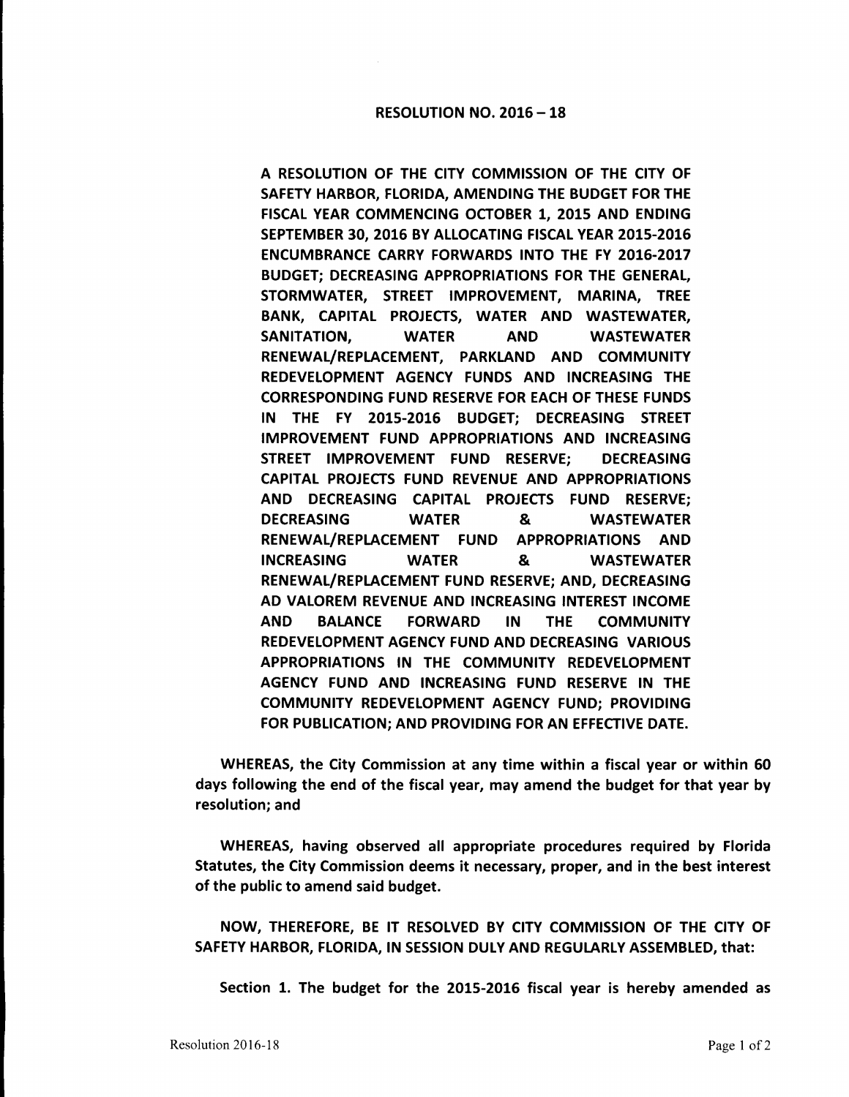## RESOLUTION NO. 2016 - 18

A RESOLUTION OF THE CITY COMMISSION OF THE CITY OF SAFETY HARBOR, FLORIDA, AMENDING THE BUDGET FOR THE FISCAL YEAR COMMENCING OCTOBER 1, 2015 AND ENDING SEPTEMBER 30, 2016 BY ALLOCATING FISCAL YEAR 2015-2016 ENCUMBRANCE CARRY FORWARDS INTO THE FY 2016-2017 BUDGET; DECREASING APPROPRIATIONS FOR THE GENERAL, STORMWATER, STREET IMPROVEMENT, MARINA, TREE BANK, CAPITAL PROJECTS, WATER AND WASTEWATER, SANITATION, WATER AND WASTEWATER RENEWAL/REPLACEMENT, PARKLAND AND COMMUNITY REDEVELOPMENT AGENCY FUNDS AND INCREASING THE CORRESPONDING FUND RESERVE FOR EACH OF THESE FUNDS IN THE FY 2015-2016 BUDGET; DECREASING STREET IMPROVEMENT FUND APPROPRIATIONS AND INCREASING STREET IMPROVEMENT FUND RESERVE; DECREASING CAPITAL PROJECTS FUND REVENUE AND APPROPRIATIONS AND DECREASING CAPITAL PROJECTS FUND RESERVE; DECREASING WATER & WASTEWATER RENEWAL/REPLACEMENT FUND APPROPRIATIONS AND INCREASING WATER & WASTEWATER RENEWAL/REPLACEMENT FUND RESERVE; AND, DECREASING AD VALOREM REVENUE AND INCREASING INTEREST INCOME AND BALANCE FORWARD IN THE COMMUNITY REDEVELOPMENT AGENCY FUND AND DECREASING VARIOUS APPROPRIATIONS IN THE COMMUNITY REDEVELOPMENT AGENCY FUND AND INCREASING FUND RESERVE IN THE COMMUNITY REDEVELOPMENT AGENCY FUND; PROVIDING FOR PUBLICATION; AND PROVIDING FOR AN EFFECTIVE DATE.

WHEREAS, the City Commission at any time within a fiscal year or within 60 days following the end of the fiscal year, may amend the budget for that year by resolution; and

WHEREAS, having observed all appropriate procedures required by Florida Statutes, the City Commission deems it necessary, proper, and in the best interest of the public to amend said budget.

NOW, THEREFORE, BE IT RESOLVED BY CITY COMMISSION OF THE CITY OF SAFETY HARBOR, FLORIDA, IN SESSION DULY AND REGULARLY ASSEMBLED, that:

Section 1. The budget for the 2015-2016 fiscal year is hereby amended as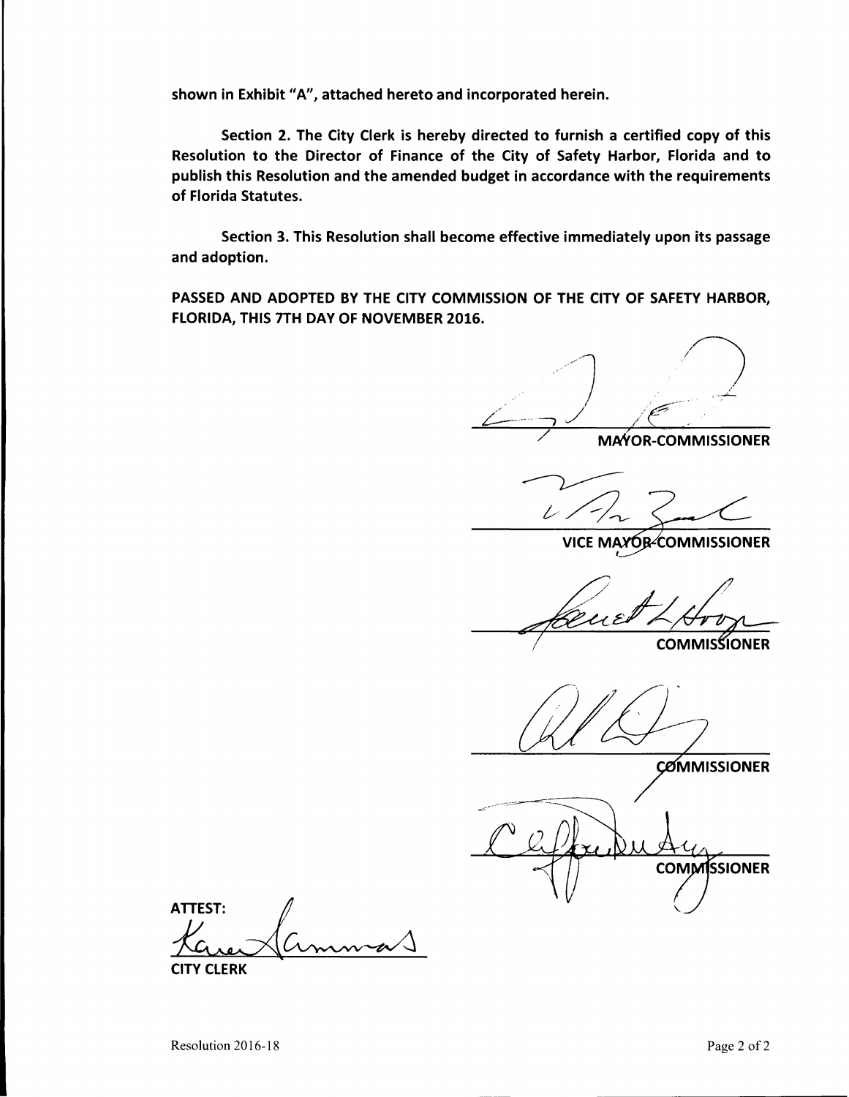shown in Exhibit "A", attached hereto and incorporated herein.

Section 2. The City Clerk is hereby directed to furnish a certified copy of this Resolution to the Director of Finance of the City of Safety **Harbor,** Florida and to publish this Resolution and the amended budget in accordance with the requirements of Florida Statutes.

Section 3. This Resolution shall become effective immediately upon its passage and adoption.

PASSED **AND ADOPTED BY** THE CITY **COMMISSION** OF THE CITY **OF SAFETY HARBOR,**  FLORIDA, THIS 7TH DAY OF NOVEMBER 2016.

MAYOR-COMMISSIONER

VICE MAYOR-COMMISSIONER

 $u\varepsilon$ 

**COMMISSIONER** 

**COMMISSIONER** 

**COMMISSIONER** 

ATTEST:<br>*X*<br>CLITY CLERK

CITY CLERK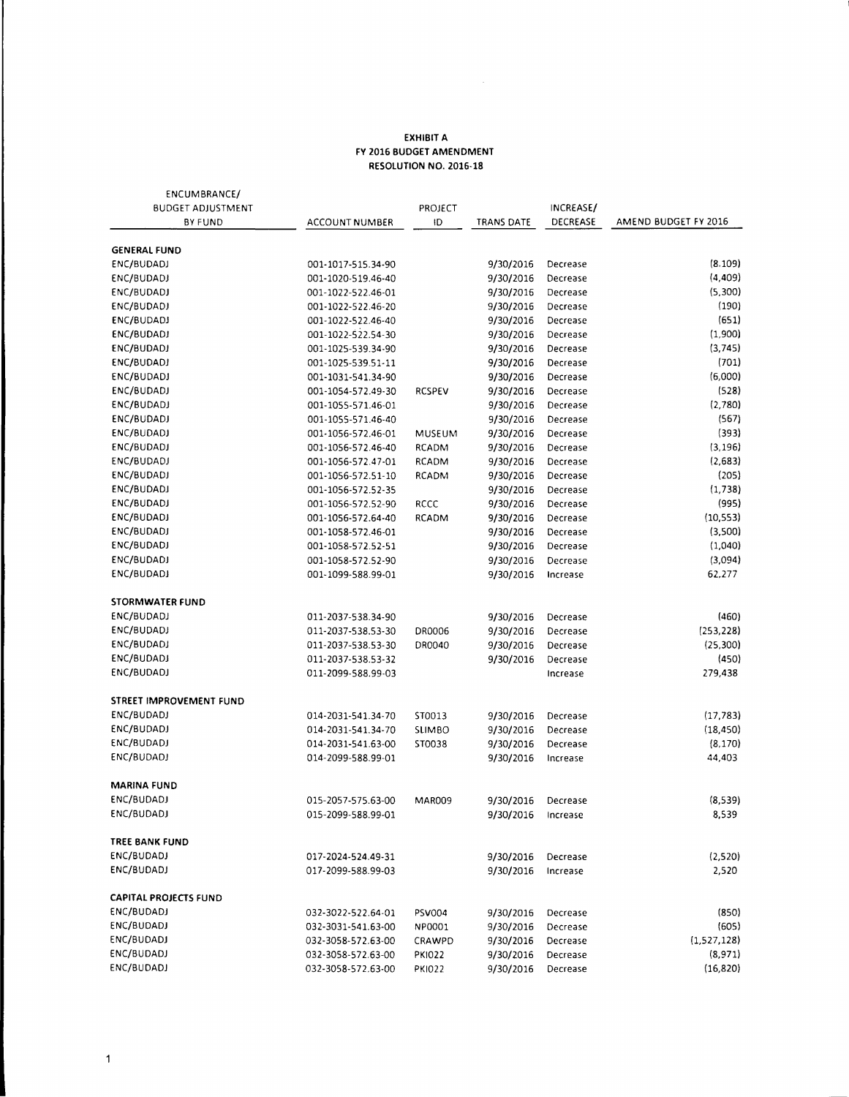## **EXHIBIT A FY 2016 BUDGET AMENDMENT RESOLUTION NO. 2016-18**

| ENCUMBRANCE/                 |                                          |               |            |           |                       |
|------------------------------|------------------------------------------|---------------|------------|-----------|-----------------------|
| <b>BUDGET ADJUSTMENT</b>     |                                          | PROJECT       |            | INCREASE/ |                       |
| BY FUND                      | <b>ACCOUNT NUMBER</b>                    | ID            | TRANS DATE | DECREASE  | AMEND BUDGET FY 2016  |
| <b>GENERAL FUND</b>          |                                          |               |            |           |                       |
| ENC/BUDADJ                   | 001-1017-515.34-90                       |               | 9/30/2016  | Decrease  | (8.109)               |
| ENC/BUDADJ                   | 001-1020-519.46-40                       |               | 9/30/2016  | Decrease  | (4, 409)              |
| ENC/BUDADJ                   | 001-1022-522.46-01                       |               | 9/30/2016  | Decrease  | (5,300)               |
| ENC/BUDADJ                   | 001-1022-522.46-20                       |               | 9/30/2016  | Decrease  | (190)                 |
| ENC/BUDADJ                   | 001-1022-522.46-40                       |               | 9/30/2016  | Decrease  | (651)                 |
| ENC/BUDADJ                   | 001-1022-522.54-30                       |               | 9/30/2016  | Decrease  | (1,900)               |
| ENC/BUDADJ                   | 001-1025-539.34-90                       |               | 9/30/2016  | Decrease  | (3,745)               |
| ENC/BUDADJ                   | 001-1025-539.51-11                       |               | 9/30/2016  | Decrease  | (701)                 |
| ENC/BUDADJ                   | 001-1031-541.34-90                       |               | 9/30/2016  | Decrease  | (6,000)               |
| ENC/BUDADJ                   | 001-1054-572.49-30                       | <b>RCSPEV</b> | 9/30/2016  | Decrease  | (528)                 |
| ENC/BUDADJ                   | 001-1055-571.46-01                       |               | 9/30/2016  | Decrease  | (2,780)               |
| ENC/BUDADJ                   | 001-1055-571.46-40                       |               | 9/30/2016  | Decrease  | (567)                 |
| ENC/BUDADJ                   | 001-1056-572.46-01                       | MUSEUM        | 9/30/2016  | Decrease  | (393)                 |
| ENC/BUDADI                   | 001-1056-572.46-40                       | <b>RCADM</b>  | 9/30/2016  | Decrease  | (3, 196)              |
| ENC/BUDADJ                   | 001-1056-572.47-01                       | <b>RCADM</b>  | 9/30/2016  | Decrease  | (2,683)               |
| ENC/BUDADJ                   | 001-1056-572.51-10                       | RCADM         | 9/30/2016  | Decrease  | (205)                 |
| ENC/BUDADJ                   | 001-1056-572.52-35                       |               | 9/30/2016  | Decrease  | (1.738)               |
| ENC/BUDADJ                   | 001-1056-572.52-90                       | RCCC          | 9/30/2016  | Decrease  | (995)                 |
| ENC/BUDADJ                   | 001-1056-572.64-40                       | RCADM         | 9/30/2016  | Decrease  | (10, 553)             |
| ENC/BUDADJ                   | 001-1058-572.46-01                       |               | 9/30/2016  | Decrease  | (3,500)               |
| ENC/BUDADJ                   | 001-1058-572.52-51                       |               | 9/30/2016  | Decrease  | (1,040)               |
| ENC/BUDADJ                   | 001-1058-572.52-90                       |               | 9/30/2016  | Decrease  | (3,094)               |
| ENC/BUDADJ                   | 001-1099-588.99-01                       |               | 9/30/2016  | Increase  | 62,277                |
|                              |                                          |               |            |           |                       |
| <b>STORMWATER FUND</b>       |                                          |               |            |           |                       |
| ENC/BUDADJ                   | 011-2037-538.34-90                       |               | 9/30/2016  | Decrease  | (460)                 |
| ENC/BUDADJ                   | 011-2037-538.53-30                       | DR0006        | 9/30/2016  | Decrease  | (253, 228)            |
| ENC/BUDADJ                   | 011-2037-538.53-30                       | DR0040        | 9/30/2016  | Decrease  | (25,300)              |
| ENC/BUDADJ                   | 011-2037-538.53-32                       |               | 9/30/2016  | Decrease  | (450)                 |
| ENC/BUDADJ                   | 011-2099-588.99-03                       |               |            | Increase  | 279,438               |
| STREET IMPROVEMENT FUND      |                                          |               |            |           |                       |
| ENC/BUDADJ                   | 014-2031-541.34-70                       | ST0013        |            | Decrease  | (17, 783)             |
| ENC/BUDADJ                   |                                          |               | 9/30/2016  |           |                       |
| ENC/BUDADJ                   | 014-2031-541.34-70                       | <b>SLIMBO</b> | 9/30/2016  | Decrease  | (18, 450)<br>(8, 170) |
| ENC/BUDADJ                   | 014-2031-541.63-00<br>014-2099-588.99-01 | ST0038        | 9/30/2016  | Decrease  | 44,403                |
|                              |                                          |               | 9/30/2016  | Increase  |                       |
| <b>MARINA FUND</b>           |                                          |               |            |           |                       |
| ENC/BUDADJ                   | 015-2057-575.63-00                       | MAR009        | 9/30/2016  | Decrease  | (8,539)               |
| ENC/BUDADJ                   | 015-2099-588.99-01                       |               | 9/30/2016  | Increase  | 8,539                 |
|                              |                                          |               |            |           |                       |
| TREE BANK FUND               |                                          |               |            |           |                       |
| ENC/BUDADJ                   | 017-2024-524.49-31                       |               | 9/30/2016  | Decrease  | (2,520)               |
| ENC/BUDADJ                   | 017-2099-588.99-03                       |               | 9/30/2016  | Increase  | 2,520                 |
| <b>CAPITAL PROJECTS FUND</b> |                                          |               |            |           |                       |
| ENC/BUDADJ                   | 032-3022-522.64-01                       | PSV004        | 9/30/2016  | Decrease  | (850)                 |
| ENC/BUDADJ                   | 032-3031-541.63-00                       | NP0001        | 9/30/2016  | Decrease  | (605)                 |
| ENC/BUDADJ                   | 032-3058-572.63-00                       | CRAWPD        | 9/30/2016  | Decrease  | (1,527,128)           |
| ENC/BUDADJ                   | 032-3058-572.63-00                       | <b>PK1022</b> | 9/30/2016  | Decrease  | (8,971)               |
| ENC/BUDADJ                   | 032-3058-572.63-00                       | <b>PKI022</b> | 9/30/2016  | Decrease  | (16, 820)             |
|                              |                                          |               |            |           |                       |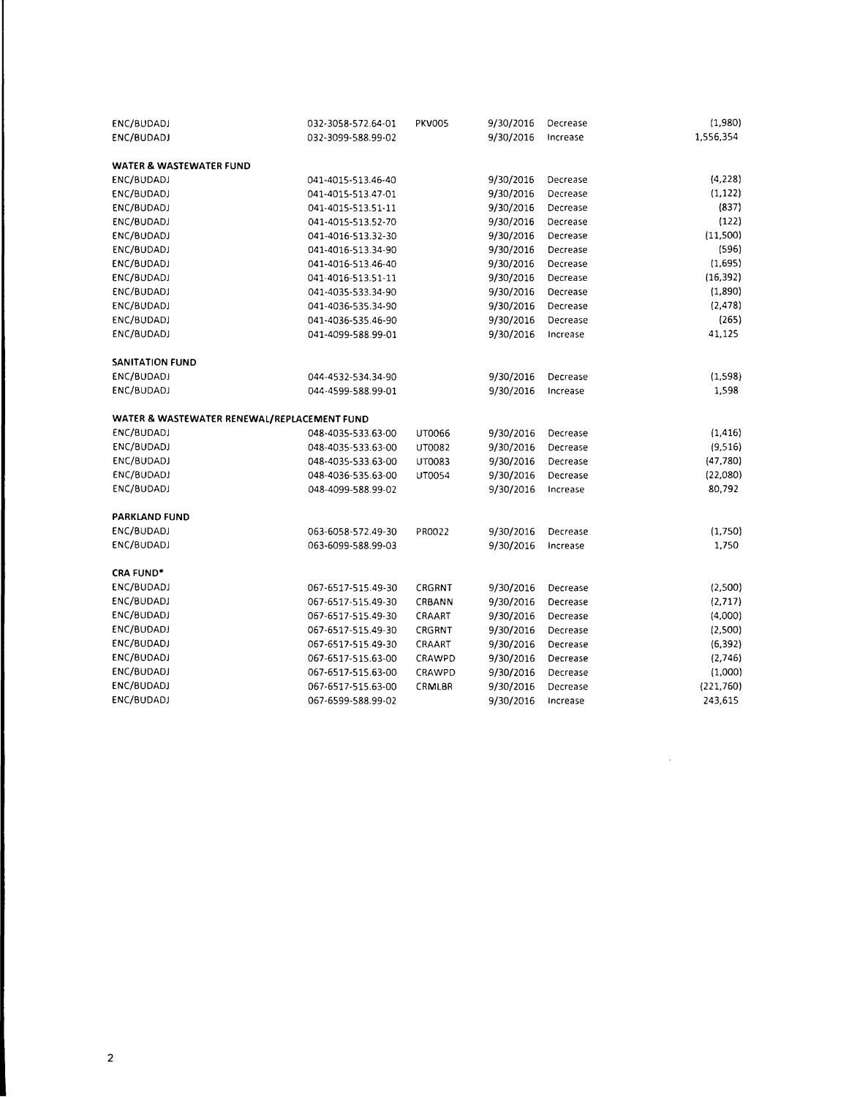| ENC/BUDADJ                                  | 032-3058-572.64-01 | <b>PKV005</b> | 9/30/2016 | Decrease | (1,980)   |
|---------------------------------------------|--------------------|---------------|-----------|----------|-----------|
| ENC/BUDADJ                                  | 032-3099-588.99-02 |               | 9/30/2016 | Increase | 1,556,354 |
| WATER & WASTEWATER FUND                     |                    |               |           |          |           |
| ENC/BUDADJ                                  | 041-4015-513.46-40 |               | 9/30/2016 | Decrease | (4, 228)  |
| ENC/BUDADJ                                  | 041-4015-513.47-01 |               | 9/30/2016 | Decrease | (1, 122)  |
| ENC/BUDADJ                                  | 041-4015-513.51-11 |               | 9/30/2016 | Decrease | (837)     |
| ENC/BUDADJ                                  | 041-4015-513.52-70 |               | 9/30/2016 | Decrease | (122)     |
| ENC/BUDADJ                                  | 041-4016-513.32-30 |               | 9/30/2016 | Decrease | (11,500)  |
| ENC/BUDADJ                                  | 041-4016-513.34-90 |               | 9/30/2016 | Decrease | (596)     |
| ENC/BUDADJ                                  | 041-4016-513.46-40 |               | 9/30/2016 | Decrease | (1,695)   |
| ENC/BUDADJ                                  | 041-4016-513.51-11 |               | 9/30/2016 | Decrease | (16, 392) |
| ENC/BUDADJ                                  | 041-4035-533.34-90 |               | 9/30/2016 | Decrease | (1,890)   |
| ENC/BUDADJ                                  | 041-4036-535.34-90 |               | 9/30/2016 | Decrease | (2, 478)  |
| ENC/BUDADJ                                  | 041-4036-535.46-90 |               | 9/30/2016 | Decrease | (265)     |
| ENC/BUDADJ                                  | 041-4099-588.99-01 |               | 9/30/2016 | Increase | 41,125    |
| <b>SANITATION FUND</b>                      |                    |               |           |          |           |
| ENC/BUDADJ                                  | 044-4532-534.34-90 |               | 9/30/2016 | Decrease | (1,598)   |
| ENC/BUDADJ                                  | 044-4599-588.99-01 |               | 9/30/2016 | Increase | 1,598     |
| WATER & WASTEWATER RENEWAL/REPLACEMENT FUND |                    |               |           |          |           |
| ENC/BUDADJ                                  | 048-4035-533.63-00 | UT0066        | 9/30/2016 | Decrease | (1, 416)  |
| ENC/BUDADJ                                  | 048-4035-533.63-00 | UT0082        | 9/30/2016 | Decrease | (9,516)   |
| ENC/BUDADJ                                  | 048-4035-533.63-00 | UT0083        | 9/30/2016 | Decrease | (47, 780) |
| ENC/BUDADJ                                  | 048-4036-535.63-00 | UT0054        | 9/30/2016 | Decrease | (22,080)  |
| ENC/BUDADJ                                  | 048-4099-588.99-02 |               | 9/30/2016 | Increase | 80,792    |
| PARKLAND FUND                               |                    |               |           |          |           |
| ENC/BUDADJ                                  | 063-6058-572.49-30 | PR0022        | 9/30/2016 | Decrease | (1,750)   |
| ENC/BUDADJ                                  | 063-6099-588.99-03 |               | 9/30/2016 | Increase | 1,750     |
| CRA FUND*                                   |                    |               |           |          |           |
| ENC/BUDADJ                                  | 067-6517-515.49-30 | CRGRNT        | 9/30/2016 | Decrease | (2,500)   |
| ENC/BUDADJ                                  | 067-6517-515.49-30 | CRBANN        | 9/30/2016 | Decrease | (2, 717)  |
| ENC/BUDADJ                                  | 067-6517-515.49-30 | CRAART        | 9/30/2016 | Decrease | (4,000)   |
| ENC/BUDADJ                                  | 067-6517-515.49-30 | CRGRNT        | 9/30/2016 | Decrease | (2,500)   |
| ENC/BUDADJ                                  | 067-6517-515.49-30 | CRAART        | 9/30/2016 | Decrease | (6, 392)  |
| ENC/BUDADJ                                  | 067-6517-515.63-00 | CRAWPD        | 9/30/2016 | Decrease | (2,746)   |
| ENC/BUDADJ                                  | 067-6517-515.63-00 | CRAWPD        | 9/30/2016 | Decrease | (1,000)   |
| ENC/BUDADJ                                  | 067-6517-515.63-00 | CRMLBR        | 9/30/2016 | Decrease | (221,760) |
| ENC/BUDADJ                                  | 067-6599-588.99-02 |               | 9/30/2016 | Increase | 243,615   |

 $\label{eq:2.1} \frac{1}{\sqrt{2\pi}}\int_{0}^{\infty}\frac{1}{\sqrt{2\pi}}\left(\frac{1}{\sqrt{2\pi}}\right)^{2}d\mu_{\rm{max}}\left(\frac{1}{\sqrt{2\pi}}\right).$